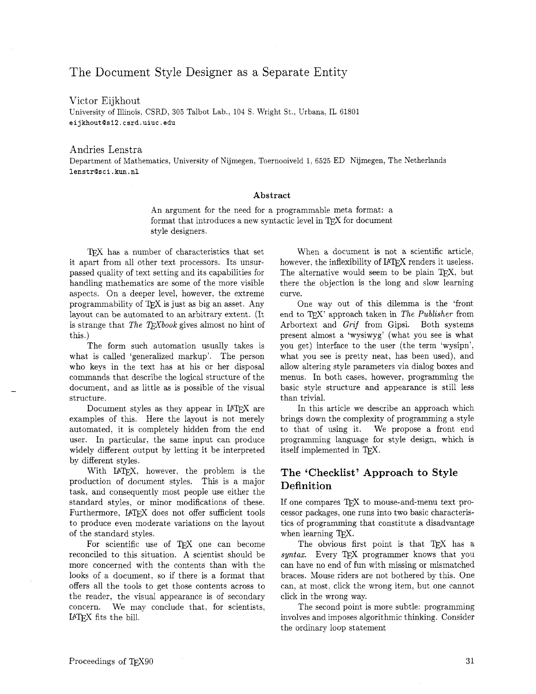# The Document Style Designer as a Separate Entity

Victor Eijkhout

University of Illinois, CSRD, 305 Talbot Lab., 104 S. Wright St.. Urbana, IL 61801 **eijkhout@s'l2.csrd.uiuc.edu** 

#### Andries Lenstra

Department of Mathematics, University of Nijmegen. Toernooiveld 1) 6525 ED Nijmegen, The Netherlands **lenstr@sci.kun.nl** 

#### **Abstract**

An argument for the need for a programmable meta format: a format that introduces a new syntactic level in  $T_{F}X$  for document style designers.

TEX has a number of characteristics that set it apart from all other text processors. Its unsurpassed quality of text setting and its capabilities for handling mathematics are some of the more visible aspects. On a deeper level, however, the extreme programmability of TEX is just as big an asset. Any layout can be automated to an arbitrary extent. (It is strange that *The TFXbook* gives almost no hint of this.)

The form such automation usually takes is what is called 'generalized markup'. The person who keys in the text has at his or her disposal commands that describe the logical structure of the document, and as little as is possible of the visual structure.

Document styles as they appear in UTEX are examples of this. Here the layout is not merely automated, it is completely hidden from the end user. In particular. the same input can produce widely different output by letting it be interpreted by different styles.

With LAT<sub>F</sub>X, however, the problem is the production of document styles. This is a major task, and consequently most people use either the standard styles, or minor modifications of these. Furthermore, IATFX does not offer sufficient tools to produce even moderate variations on the layout of the standard styles.

For scientific use of  $T_{\text{F}}X$  one can become reconciled to this situation. A scientist should be more concerned with the contents than with the looks of a document, so if there is a format that offers all the tools to get those contents across to the reader, the visual appearance is of secondary concern. We may conclude that, for scientists, LAT<sub>EX</sub> fits the bill.

When a document is not a scientific article, however, the inflexibility of LATFX renders it useless. The alternative would seem to be plain T<sub>EX</sub>, but there the objection is the long and slow learning curve.

One way out of this dilemma is the 'front end to TFX' approach taken in The Publisher from Arbortext and *Grif* from Gipsi. Both systems present almost a 'wysiwyg' (what you see is what you get) interface to the user (the term 'wysipn', what you see is pretty neat, has been used), and allow altering style parameters via dialog boxes and menus. In both cases, however, programming the basic style structure and appearance is still less than trivial.

In this article we describe an approach which brings down the complexity of programming a style to that of using it. We propose a front end programming language for style design, which is itself implemented in TEX.

## **The 'Checklist' Approach to Style Definition**

If one compares TFX to mouse-and-menu text processor packages, one runs into two basic characteristics of programming that constitute a disadvantage when learning T<sub>E</sub>X.

The obvious first point is that TFX has a  $syntax.$  Every TEX programmer knows that you can have no end of fun with missing or mismatched braces. Mouse riders are not bothered by this. One can. at most, click the wrong item, but one cannot click in the wrong way.

The second point is more subtle: programming involves and imposes algorithmic thinking. Consider the ordinary loop statement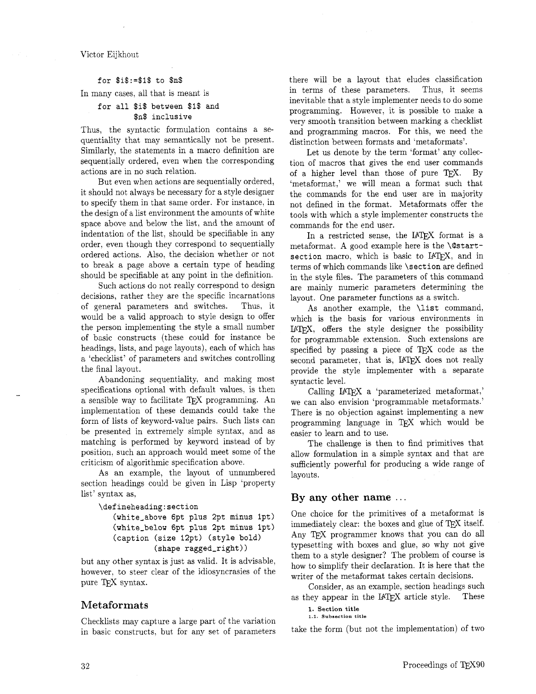Victor Eijkhout

#### **for** \$i\$:=\$:\$ **to \$n\$**

In many cases, all that is meant is

### **for all \$i\$ between** \$I\$ **and \$n\$ inclusive**

Thus, the syntactic formulation contains a sequentiality that may semantically not be present. Similarly, the statements in a macro definition are sequentially ordered, even when the corresponding actions are in no such relation.

But even when actions are sequentially ordered, it should not always be necessary for a style designer to specify them in that same order. For instance, in the design of a list environment the amounts of white space above and below the list, and the amount of indentation of the list, should be specifiable in any order, even though they correspond to sequentially ordered actions. Also, the decision whether or not to break a page above a certain type of heading should be specifiable at any point in the definition.

Such actions do not really correspond to design decisions, rather they are the specific incarnations of general parameters and switches. Thus. it would be a valid approach to style design to offer the person implementing the style a small number of basic constructs (these could for instance be headings, lists, and page layouts), each of which has a 'checklist' of parameters and switches controlling the final layout.

Abandoning sequentiality, and making most specifications optional with default values, is then a sensible way to facilitate TEX programming. An implementation of these demands could take the form of lists of keyword-value pairs. Such lists can be presented in extremely simple syntax, and as matching is performed by keyword instead of by position, such an approach would meet some of the criticism of algorithmic specification above.

As an example, the layout of unnumbered section headings could be given in Lisp 'property list' syntax as.

```
\defineheading:section
```
**(white-above 6pt plus 2pt minus lpt) (white-below 6pt plus 2pt minus lpt) (caption (size 12pt) (style bold) (shape ragged-right))** 

but any other syntax is just as valid. It is advisable, however, to steer clear of the idiosyncrasies of the pure T<sub>F</sub>X syntax.

### **Metaformats**

Checklists may capture a large part of the variation in basic constructs, but for any set of parameters there will be a layout that eludes classification in terms of these parameters. Thus, it seems inevitable that a style implementer needs to do some programming. However, it is possible to make a very smooth transition between marking a checklist and programming macros. For this, we need the distinction between formats and 'metaformats'.

Let us denote by the term 'format' any collection of macros that gives the end user commands of a higher level than those of pure TEX. By 'metaformat,' we will mean a format such that the commands for the end user are in majority not defined in the format. Metaformats offer the tools with which a style implementer constructs the commands for the end user.

In a restricted sense, the IATFX format is a metaformat. A good example here is the **\Qstart**section macro, which is basic to IAT<sub>E</sub>X, and in terms of which commands like **\section** are defined in the style files. The parameters of this command are mainly numeric parameters determining the layout. One parameter functions as a switch.

As another example, the **\list** command, which is the basis for various environments in LAT<sub>F</sub>X, offers the style designer the possibility for programmable extension. Such extensions are specified by passing a piece of  $T_{F}X$  code as the second parameter, that is, IATFX does not really provide the style implementer with a separate syntactic level.

Calling IAT<sub>F</sub>X a 'parameterized metaformat,' we can also envision 'programmable metaformats.' There is no objection against implementing a new programming language in TEX which would be easier to learn and to use.

The challenge is then to find primitives that allow formulation in a simple syntax and that are sufficiently powerful for producing a wide range of layouts.

### **By any other name** . . .

One choice for the primitives of a metaformat is immediately clear: the boxes and glue of  $T_{\rm E}X$  itself. Any TFX programmer knows that you can do all typesetting with boxes and glue, so why not give them to a style designer? The problem of course is how to simplify their decIaration. It is here that the writer of the metaformat takes certain decisions.

Consider, as an example, section headings such as they appear in the IATFX article style. These

**1. Section title 1.1 Subsection title** 

take the form (but not the implementation) of two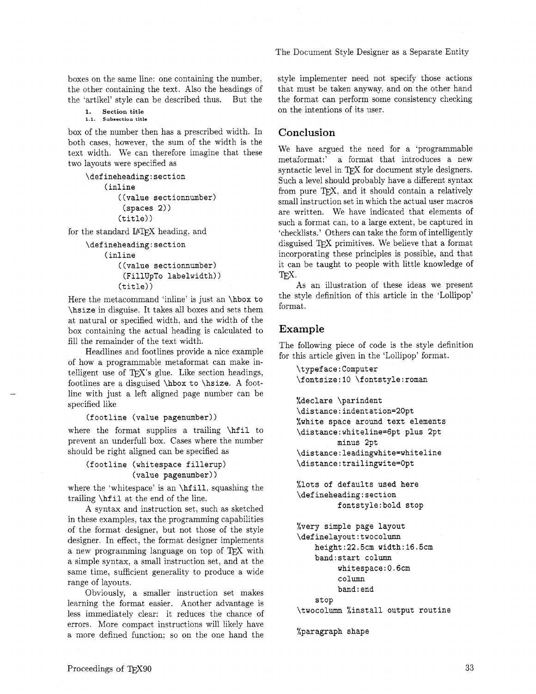boxes on the same line: one containing the number, the other containing the text. Also the headings of the 'artikel' style can be described thus. But the

**1. Section title 1.1. Subsection title** 

box of the number then has a prescribed width. In both cases, however, the sum of the width is the text width. We can therefore imagine that these two layouts were specified as

```
\defineheading:section 
    (inline 
        ((value sectionnumber) 
        (spaces 2)) 
        (title))
```
for the standard IATFX heading, and

```
\defineheading:section 
    (inline 
       ((value sectionnumber) 
         (FillUpTo labelwidth)) 
       (title))
```
Here the metacommand 'inline' is just an **\hbox to \hsize** in disguise. It takes all boxes and sets them at natural or specified width. and the width of the box containing the actual heading is calculated to fill the remainder of the text width.

Headlines and footlines provide a nice example of how a programmable metaformat can make intelligent use of T $FX$ 's glue. Like section headings, footlines are a disguised **\hbox to \hsize. A** footline with just a left aligned page number can be specified like

```
(footline (value pagenumber))
```
where the format supplies a trailing **\hfil** to prevent an underfull box. Cases where the number should be right aligned can be specified as

## **(f ootline (whitespace f illerup) (value pagenumber))**

where the 'whitespace' is an **\hf ill.** squashing the trailing **\hf il** at the end of the line.

A syntax and instruction set, such as sketched in these examples, tax the programming capabilities of the format designer, but not those of the style designer. In effect, the format designer implements a new programming language on top of TFX with a simple syntax. a small instruction set, and at the same time, sufficient generality to produce a wide range of layouts.

Obviously, a smaller instruction set makes learning the format easier. Another advantage is less immediately clear: it reduces the chance of errors. More compact instructions will likely have a more defined function: so on the one hand the The Document Style Designer as a Separate Entity

style implementer need not specify those actions that must be taken anyway, and on the other hand the format can perform some consistency checking on the intentions of its user.

## **Conclusion**

We have argued the need for a 'programmable metaformat:' a format that introduces a new syntactic level in TFX for document style designers. Such a level should probably have a different syntax from pure TFX, and it should contain a relatively small instruction set in which the actual user macros are written. We have indicated that elements of such a format can, to a large extent, be captured in 'checklists.' Others can take the form of intelligently disguised TEX primitives. We believe that a format incorporating these principles is possible, and that it can be taught to people with little knowledge of<br>TEX.

As an illustration of these ideas we present the style definition of this article in the 'Lollipop' format.

# **Example**

The following piece of code is the style definition for this article given in the 'Lollipop' format.

```
\typeface : Computer 
\fontsize:lO \fontstyle:roman 
%declare \parindent 
\distance:indentation=20pt 
%white space around text elements 
\distance:whiteline=6pt plus 2pt 
         minus 2pt 
\distance:leadingwhite=whiteline 
\distance:trailingwite=Opt 
%lots of defaults used here 
\defineheading:section 
         fontsty1e:bold stop 
%very simple page layout 
\definelayout:twocolumn 
    height:22.5cm width:l6.5cm 
    band: start column 
         whitespace:0.6cm 
         column 
         band : end 
    stop 
\twocolumn %install output routine
```

```
%paragraph shape
```